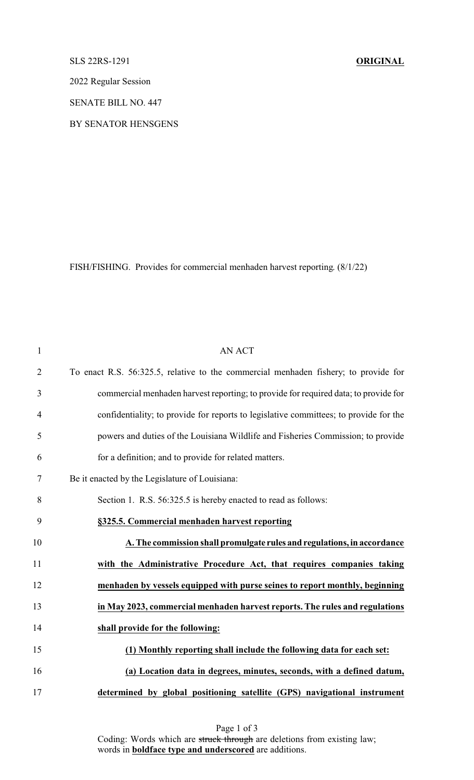## SLS 22RS-1291 **ORIGINAL**

2022 Regular Session

SENATE BILL NO. 447

BY SENATOR HENSGENS

FISH/FISHING. Provides for commercial menhaden harvest reporting. (8/1/22)

| $\mathbf{1}$   | <b>AN ACT</b>                                                                         |
|----------------|---------------------------------------------------------------------------------------|
| $\overline{2}$ | To enact R.S. 56:325.5, relative to the commercial menhaden fishery; to provide for   |
| $\mathfrak{Z}$ | commercial menhaden harvest reporting; to provide for required data; to provide for   |
| $\overline{4}$ | confidentiality; to provide for reports to legislative committees; to provide for the |
| 5              | powers and duties of the Louisiana Wildlife and Fisheries Commission; to provide      |
| 6              | for a definition; and to provide for related matters.                                 |
| $\tau$         | Be it enacted by the Legislature of Louisiana:                                        |
| 8              | Section 1. R.S. 56:325.5 is hereby enacted to read as follows:                        |
| 9              | §325.5. Commercial menhaden harvest reporting                                         |
| 10             | A. The commission shall promulgate rules and regulations, in accordance               |
| 11             | with the Administrative Procedure Act, that requires companies taking                 |
| 12             | menhaden by vessels equipped with purse seines to report monthly, beginning           |
| 13             | in May 2023, commercial menhaden harvest reports. The rules and regulations           |
| 14             | shall provide for the following:                                                      |
| 15             | (1) Monthly reporting shall include the following data for each set:                  |
| 16             | (a) Location data in degrees, minutes, seconds, with a defined datum,                 |
| 17             | determined by global positioning satellite (GPS) navigational instrument              |

Page 1 of 3 Coding: Words which are struck through are deletions from existing law; words in **boldface type and underscored** are additions.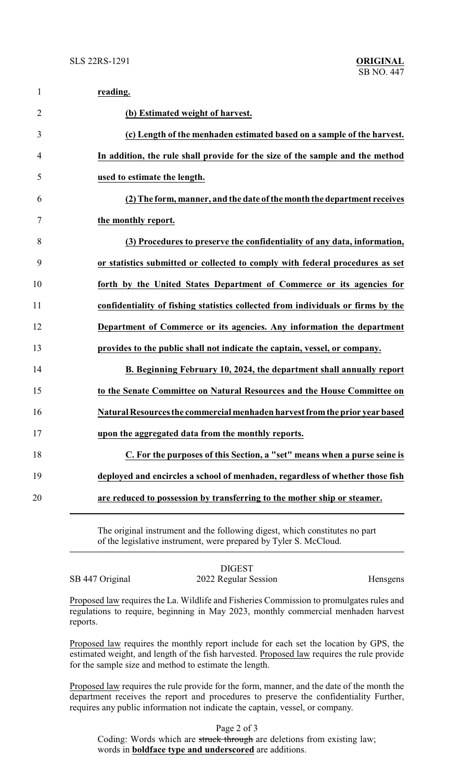| $\mathbf{1}$   | reading.                                                                         |
|----------------|----------------------------------------------------------------------------------|
| $\overline{2}$ | (b) Estimated weight of harvest.                                                 |
| 3              | (c) Length of the menhaden estimated based on a sample of the harvest.           |
| 4              | In addition, the rule shall provide for the size of the sample and the method    |
| 5              | used to estimate the length.                                                     |
| 6              | (2) The form, manner, and the date of the month the department receives          |
| 7              | the monthly report.                                                              |
| 8              | (3) Procedures to preserve the confidentiality of any data, information,         |
| 9              | or statistics submitted or collected to comply with federal procedures as set    |
| 10             | forth by the United States Department of Commerce or its agencies for            |
| 11             | confidentiality of fishing statistics collected from individuals or firms by the |
| 12             | Department of Commerce or its agencies. Any information the department           |
| 13             | provides to the public shall not indicate the captain, vessel, or company.       |
| 14             | B. Beginning February 10, 2024, the department shall annually report             |
| 15             | to the Senate Committee on Natural Resources and the House Committee on          |
| 16             | Natural Resources the commercial menhaden harvest from the prior year based      |
| 17             | upon the aggregated data from the monthly reports.                               |
| 18             | C. For the purposes of this Section, a "set" means when a purse seine is         |
| 19             | deployed and encircles a school of menhaden, regardless of whether those fish    |
| 20             | are reduced to possession by transferring to the mother ship or steamer.         |
|                |                                                                                  |

The original instrument and the following digest, which constitutes no part of the legislative instrument, were prepared by Tyler S. McCloud.

DIGEST SB 447 Original 2022 Regular Session Hensgens

Proposed law requires the La. Wildlife and Fisheries Commission to promulgates rules and regulations to require, beginning in May 2023, monthly commercial menhaden harvest reports.

Proposed law requires the monthly report include for each set the location by GPS, the estimated weight, and length of the fish harvested. Proposed law requires the rule provide for the sample size and method to estimate the length.

Proposed law requires the rule provide for the form, manner, and the date of the month the department receives the report and procedures to preserve the confidentiality Further, requires any public information not indicate the captain, vessel, or company.

Page 2 of 3

Coding: Words which are struck through are deletions from existing law; words in **boldface type and underscored** are additions.